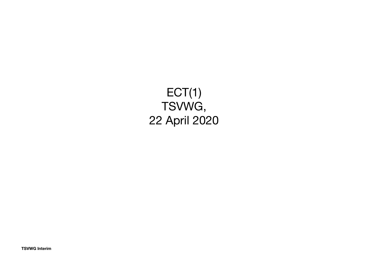### ECT(1) TSVWG, 22 April 2020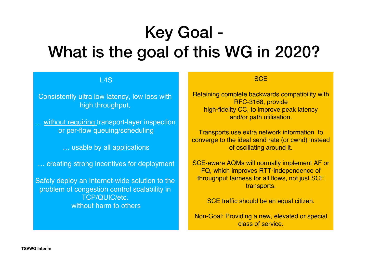## Key Goal - What is the goal of this WG in 2020?

L4S

Consistently ultra low latency, low loss with high throughput,

… without requiring transport-layer inspection or per-flow queuing/scheduling

… usable by all applications

… creating strong incentives for deployment

Safely deploy an Internet-wide solution to the problem of congestion control scalability in TCP/QUIC/etc. without harm to others

#### **SCE**

Retaining complete backwards compatibility with RFC-3168, provide high-fidelity CC, to improve peak latency and/or path utilisation.

Transports use extra network information to converge to the ideal send rate (or cwnd) instead of oscillating around it.

SCE-aware AQMs will normally implement AF or FQ, which improves RTT-independence of throughput fairness for all flows, not just SCE transports.

SCE traffic should be an equal citizen.

Non-Goal: Providing a new, elevated or special class of service.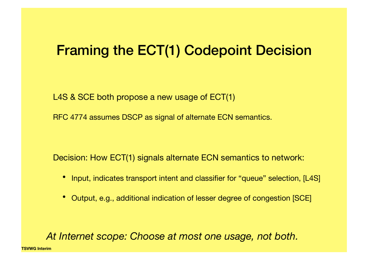### Framing the ECT(1) Codepoint Decision

L4S & SCE both propose a new usage of ECT(1)

RFC 4774 assumes DSCP as signal of alternate ECN semantics.

Decision: How ECT(1) signals alternate ECN semantics to network:

- Input, indicates transport intent and classifier for "queue" selection, [L4S]
- Output, e.g., additional indication of lesser degree of congestion [SCE]

*At Internet scope: Choose at most one usage, not both.*

**TSVWG Interim**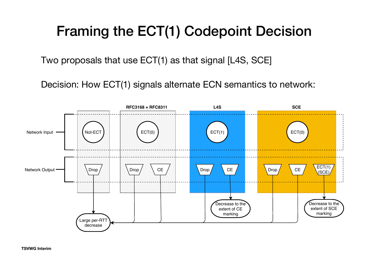## Framing the ECT(1) Codepoint Decision

Two proposals that use ECT(1) as that signal [L4S, SCE]

Decision: How ECT(1) signals alternate ECN semantics to network:

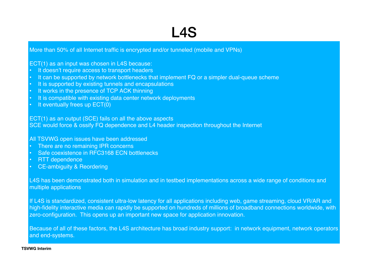## L4S

More than 50% of all Internet traffic is encrypted and/or tunneled (mobile and VPNs)

ECT(1) as an input was chosen in L4S because:

- It doesn't require access to transport headers
- It can be supported by network bottlenecks that implement FQ or a simpler dual-queue scheme
- It is supported by existing tunnels and encapsulations
- It works in the presence of TCP ACK thinning
- It is compatible with existing data center network deployments
- It eventually frees up ECT(0)

ECT(1) as an output (SCE) fails on all the above aspects

SCE would force & ossify FQ dependence and L4 header inspection throughout the Internet

All TSVWG open issues have been addressed

- There are no remaining IPR concerns
- Safe coexistence in RFC3168 ECN bottlenecks
- RTT dependence
- CE-ambiguity & Reordering

L4S has been demonstrated both in simulation and in testbed implementations across a wide range of conditions and multiple applications

If L4S is standardized, consistent ultra-low latency for all applications including web, game streaming, cloud VR/AR and high-fidelity interactive media can rapidly be supported on hundreds of millions of broadband connections worldwide, with zero-configuration. This opens up an important new space for application innovation.

Because of all of these factors, the L4S architecture has broad industry support: in network equipment, network operators and end-systems.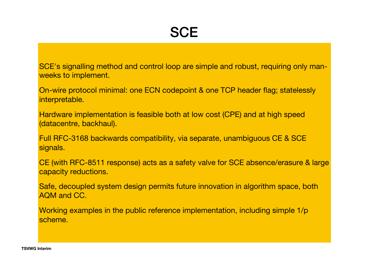SCE's signalling method and control loop are simple and robust, requiring only manweeks to implement.

On-wire protocol minimal: one ECN codepoint & one TCP header flag; statelessly interpretable.

Hardware implementation is feasible both at low cost (CPE) and at high speed (datacentre, backhaul).

Full RFC-3168 backwards compatibility, via separate, unambiguous CE & SCE signals.

CE (with RFC-8511 response) acts as a safety valve for SCE absence/erasure & large capacity reductions.

Safe, decoupled system design permits future innovation in algorithm space, both AQM and CC.

Working examples in the public reference implementation, including simple 1/p scheme.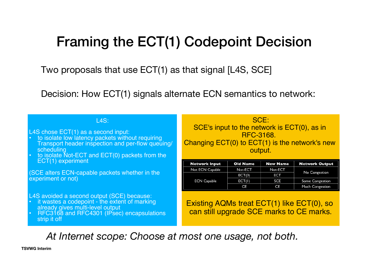## Framing the ECT(1) Codepoint Decision

Two proposals that use ECT(1) as that signal [L4S, SCE]

Decision: How ECT(1) signals alternate ECN semantics to network:

| <b>L4S:</b><br>L4S chose ECT(1) as a second input:<br>• to isolate low latency packets without requiring<br>Transport header inspection and per-flow queuing/<br>scheduling<br>to isolate Not-ECT and ECT(0) packets from the<br>$\bullet$ | SCE:<br>SCE's input to the network is ECT(0), as in<br><b>RFC-3168.</b><br>Changing ECT(0) to ECT(1) is the network's new<br>output. |                 |                 |                       |  |  |
|--------------------------------------------------------------------------------------------------------------------------------------------------------------------------------------------------------------------------------------------|--------------------------------------------------------------------------------------------------------------------------------------|-----------------|-----------------|-----------------------|--|--|
| ECT(1) experiment                                                                                                                                                                                                                          | <b>Network Input</b>                                                                                                                 | <b>Old Name</b> | <b>New Name</b> | <b>Network Output</b> |  |  |
|                                                                                                                                                                                                                                            | Not ECN Capable                                                                                                                      | Not-ECT         | Not-ECT         |                       |  |  |
| (SCE alters ECN-capable packets whether in the                                                                                                                                                                                             | <b>ECN Capable</b>                                                                                                                   | ECT(0)          | <b>ECT</b>      | No Congestion         |  |  |
| experiment or not)                                                                                                                                                                                                                         |                                                                                                                                      | ECT(I)          | SCE             | Some Congestion       |  |  |
|                                                                                                                                                                                                                                            |                                                                                                                                      | CE              | CE              | Much Congestion       |  |  |
| L4S avoided a second output (SCE) because:<br>• it wastes a codepoint - the extent of marking<br>already gives multi-level output<br>RFC3168 and RFC4301 (IPsec) encapsulations<br>$\bullet$<br>strip it off                               | Existing AQMs treat ECT(1) like ECT(0), so<br>can still upgrade SCE marks to CE marks.                                               |                 |                 |                       |  |  |

*At Internet scope: Choose at most one usage, not both.*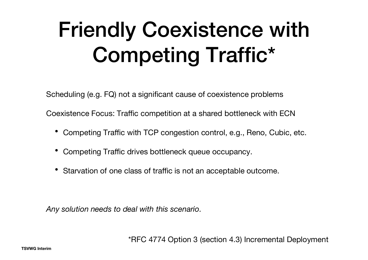## Friendly Coexistence with Competing Traffic\*

Scheduling (e.g. FQ) not a significant cause of coexistence problems

Coexistence Focus: Traffic competition at a shared bottleneck with ECN

- Competing Traffic with TCP congestion control, e.g., Reno, Cubic, etc.
- Competing Traffic drives bottleneck queue occupancy.
- Starvation of one class of traffic is not an acceptable outcome.

*Any solution needs to deal with this scenario.*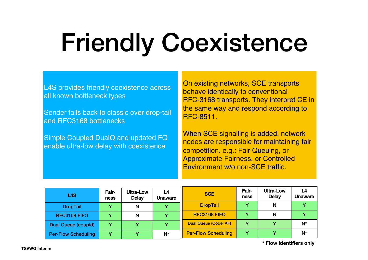# Friendly Coexistence

L4S provides friendly coexistence across all known bottleneck types

Sender falls back to classic over drop-tail and RFC3168 bottlenecks

Simple Coupled DualQ and updated FQ enable ultra-low delay with coexistence

On existing networks, SCE transports behave identically to conventional RFC-3168 transports. They interpret CE in the same way and respond according to RFC-8511.

When SCE signalling is added, network nodes are responsible for maintaining fair competition. e.g.: Fair Queuing, or Approximate Fairness, or Controlled Environment w/o non-SCE traffic.

| <b>L4S</b>                 | Fair-<br>ness | <b>Ultra-Low</b><br><b>Delay</b> | L4<br><b>Unaware</b> | <b>SCE</b>                   | Fair-<br>ness | Ultra-Low<br><b>Delay</b> | L4<br><b>Unaware</b> |
|----------------------------|---------------|----------------------------------|----------------------|------------------------------|---------------|---------------------------|----------------------|
| <b>DropTail</b>            |               | N                                |                      | <b>DropTail</b>              |               | N                         |                      |
| RFC3168 FIFO               |               | N                                |                      | RFC3168 FIFO                 |               | N                         |                      |
| <b>Dual Queue (coupld)</b> | v             |                                  |                      | <b>Dual Queue (Codel AF)</b> | $\mathbf{v}$  |                           | $N^*$                |
| <b>Per-Flow Scheduling</b> |               |                                  | $N^*$                | <b>Per-Flow Scheduling</b>   |               |                           | $N^*$                |

**\* Flow identifiers only**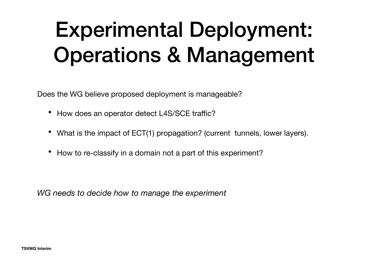## Experimental Deployment: Operations & Management

Does the WG believe proposed deployment is manageable?

- How does an operator detect L4S/SCE traffic?
- What is the impact of ECT(1) propagation? (current tunnels, lower layers).
- How to re-classify in a domain not a part of this experiment?

*WG needs to decide how to manage the experiment*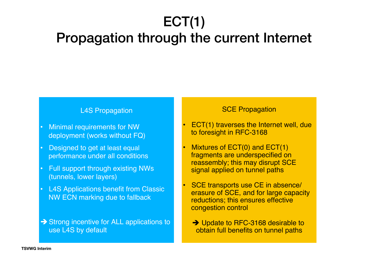## ECT(1)

## Propagation through the current Internet

#### L4S Propagation

- Minimal requirements for NW deployment (works without FQ)
- Designed to get at least equal performance under all conditions
- Full support through existing NWs (tunnels, lower layers)
- **L4S Applications benefit from Classic** NW ECN marking due to fallback
- $\rightarrow$  Strong incentive for ALL applications to use L4S by default

#### **SCE Propagation**

- ECT(1) traverses the Internet well, due to foresight in RFC-3168
- Mixtures of ECT(0) and ECT(1) fragments are underspecified on reassembly; this may disrupt SCE signal applied on tunnel paths
- SCE transports use CE in absence/ erasure of SCE, and for large capacity reductions; this ensures effective congestion control
	- → Update to RFC-3168 desirable to obtain full benefits on tunnel paths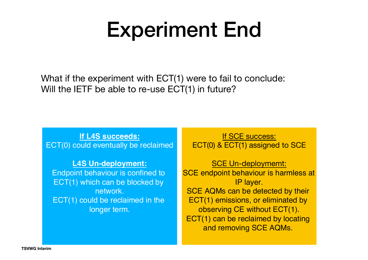## Experiment End

What if the experiment with ECT(1) were to fail to conclude: Will the IETF be able to re-use ECT(1) in future?

**If L4S succeeds:** ECT(0) could eventually be reclaimed

**L4S Un-deployment:** Endpoint behaviour is confined to ECT(1) which can be blocked by network. ECT(1) could be reclaimed in the longer term.

If SCE success: ECT(0) & ECT(1) assigned to SCE

SCE Un-deploymemt: SCE endpoint behaviour is harmless at IP layer. SCE AQMs can be detected by their ECT(1) emissions, or eliminated by observing CE without ECT(1). ECT(1) can be reclaimed by locating and removing SCE AQMs.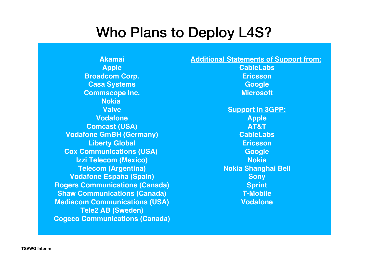## Who Plans to Deploy L4S?

**Akamai Apple Broadcom Corp. Casa Systems Commscope Inc. Nokia Valve Vodafone Comcast (USA) Vodafone GmBH (Germany) Liberty Global Cox Communications (USA) Izzi Telecom (Mexico) Telecom (Argentina) Vodafone España (Spain) Rogers Communications (Canada) Shaw Communications (Canada) Mediacom Communications (USA) Tele2 AB (Sweden) Cogeco Communications (Canada)** **Additional Statements of Support from:** 

**CableLabs Ericsson Google Microsoft**

**Support in 3GPP: Apple AT&T CableLabs Ericsson Google Nokia Nokia Shanghai Bell Sony Sprint T-Mobile Vodafone**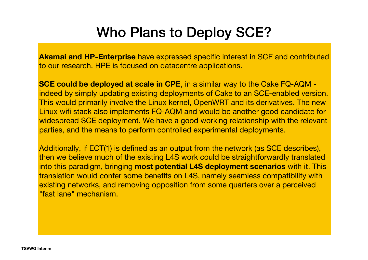## Who Plans to Deploy SCE?

**Akamai and HP-Enterprise** have expressed specific interest in SCE and contributed to our research. HPE is focused on datacentre applications.

**SCE could be deployed at scale in CPE**, in a similar way to the Cake FQ-AQM indeed by simply updating existing deployments of Cake to an SCE-enabled version. This would primarily involve the Linux kernel, OpenWRT and its derivatives. The new Linux wifi stack also implements FQ-AQM and would be another good candidate for widespread SCE deployment. We have a good working relationship with the relevant parties, and the means to perform controlled experimental deployments.

Additionally, if ECT(1) is defined as an output from the network (as SCE describes), then we believe much of the existing L4S work could be straightforwardly translated into this paradigm, bringing **most potential L4S deployment scenarios** with it. This translation would confer some benefits on L4S, namely seamless compatibility with existing networks, and removing opposition from some quarters over a perceived "fast lane" mechanism.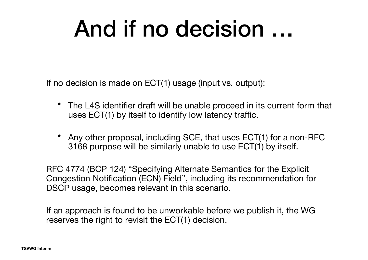## And if no decision …

If no decision is made on ECT(1) usage (input vs. output):

- The L4S identifier draft will be unable proceed in its current form that uses ECT(1) by itself to identify low latency traffic.
- Any other proposal, including SCE, that uses ECT(1) for a non-RFC 3168 purpose will be similarly unable to use ECT(1) by itself.

RFC 4774 (BCP 124) "Specifying Alternate Semantics for the Explicit Congestion Notification (ECN) Field", including its recommendation for DSCP usage, becomes relevant in this scenario.

If an approach is found to be unworkable before we publish it, the WG reserves the right to revisit the ECT(1) decision.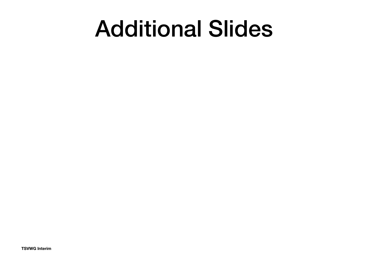## Additional Slides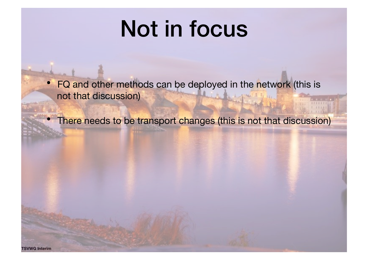## Not in focus

• FQ and other methods can be deployed in the network (this is not that discussion)

• There needs to be transport changes (this is not that discussion)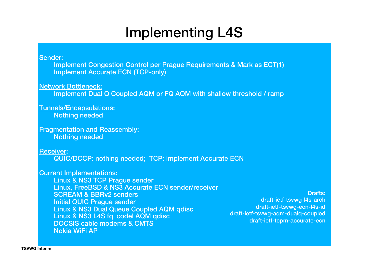### Implementing L4S

Sender:

Implement Congestion Control per Prague Requirements & Mark as ECT(1) Implement Accurate ECN (TCP-only)

Network Bottleneck:

Implement Dual Q Coupled AQM or FQ AQM with shallow threshold / ramp

Tunnels/Encapsulations: Nothing needed

Fragmentation and Reassembly: Nothing needed

Receiver:

QUIC/DCCP: nothing needed; TCP: implement Accurate ECN

Current Implementations:

Linux & NS3 TCP Prague sender Linux, FreeBSD & NS3 Accurate ECN sender/receiver SCREAM & BBRv2 senders Initial QUIC Prague sender Linux & NS3 Dual Queue Coupled AQM qdisc Linux & NS3 L4S fq\_codel AQM qdisc DOCSIS cable modems & CMTS Nokia WiFi AP

Drafts: draft-ietf-tsvwg-l4s-arch draft-ietf-tsvwg-ecn-l4s-id draft-ietf-tsvwg-aqm-dualq-coupled draft-ietf-tcpm-accurate-ecn